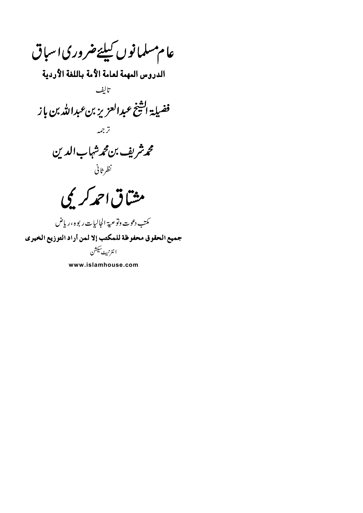عام مىلمانوں كىلئےضرورى اسباق الدروس المهمة لعامة الأمة باللغة الأردية تاليف فضيلة الشخ عبدالعزيز بن عبدالله بن باز ترجمه محمرشريف بن محمرشهاب الدين نظرثاني مشاق احمد کریمی كمتب دعوت وتوعية الجاليات ريوه ،رياض جميع الحقوق محفوظة للمكتب إلا لمن أراد التوزيع الخيري ا نٹرنریٹ سیکشن

www.islamhouse.com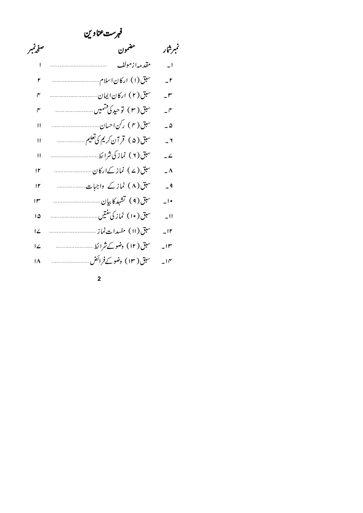| فهرست عناوين   |                            |                          |
|----------------|----------------------------|--------------------------|
| صفرتمير        | مضمون                      | تمبرشار                  |
|                | مقد مەازمولف               | $\overline{\phantom{0}}$ |
| ۲              |                            | $\mathsf{I}$             |
| ۴              |                            | $-^{\prime\prime}$       |
| ۴              | سبق(٣) توحید کی قسمیں      | $\mathcal{I}$            |
| 11             |                            | $-\Delta$                |
| $\mathsf{H}$   | سبق(۵) قر آن کریم کی تعلیم | $-1$                     |
| $\mathbf{H}$   |                            | $-2$                     |
| ۱۲             |                            | $\overline{\phantom{a}}$ |
| ۱۲             | سبق(۸) نمازکے واجبات       | $-9$                     |
| ۱۳             |                            | $\overline{\phantom{a}}$ |
| ۱۵             |                            | $-11$                    |
| ئے ا           |                            | $-11$                    |
| ئے ا           | سبق( ۱۲) وضو کے شرائط      | $\mathsf{L}$             |
| $\overline{M}$ | سبق( ۱۳) وضو کےفرائض       | $-10^{6}$                |

 $\overline{\mathbf{c}}$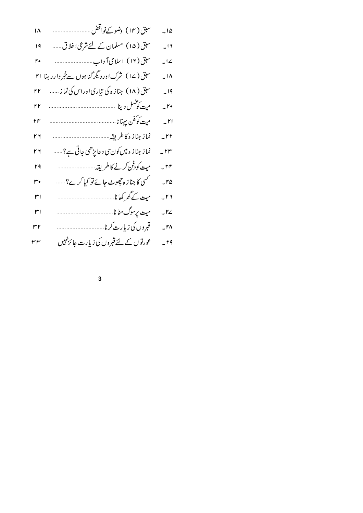$\overline{\mathbf{3}}$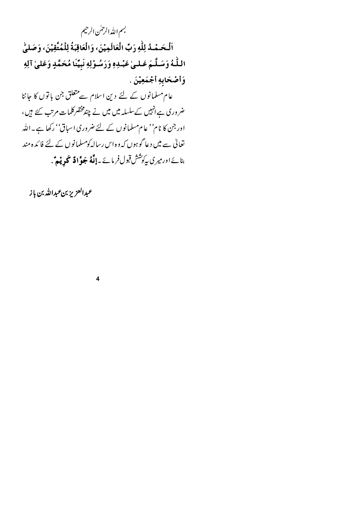بسم اللدالرحلن الرحيم

اَلْحَمْدُ لِلّٰهِ رَبِّ الْعَالَمِيْنَ، وَالْعَاقِبَةُ لِلْمُتَّقِيْنَ، وَصَلَّىٰ اللَّهُ وَسَلَّمَ عَـلـىٰ عَبْـدِهِ وَرَسُـوْلِهِ نَبِيِّنَا مُحَمَّدٍ وَعَلَىٰ آلِهِ وَأَصْحَابِهِ أَجْمَعِيْنَ .

عام مسلمانوں کے لئے دین اسلام سے متعلق جن باتوں کا جاننا ضروری ہےانہیں کےسلسلہ میں میں نے چندمخضر کلمات مرتب کئے ہیں، اور جن کا نام'' عام مسلمانوں کے لئے ضروری اسباق'' رکھا ہے۔اللہ تعالیٰ سے میں دعا گوہوں کہ وہ اس رسالہ کومسلمانوں کے لئے فائدہ مند بنائے اور میری پہ<sup>کوشش</sup> قبول فرمائے ۔**اِنَّهُ جَوَّادٌ تحریٰیہٌ** .

 $\overline{\mathbf{4}}$ 

عبدالعزيز بنءبدالله بن باز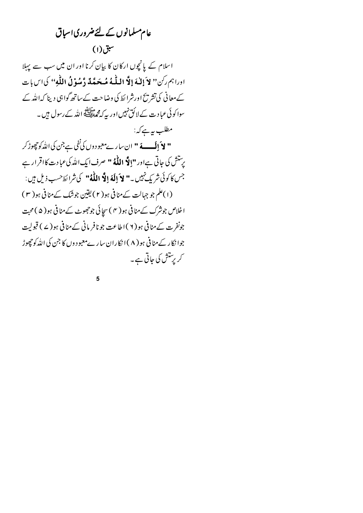عام مسلمانوں کے لئےضروری اسباق  $(1)$ اسلام کے پانچوں ارکان کا بیان کرنا اور ان میں سب سے پہلا اورا بم ركن" لاَ إِللَّهَ إِلَّا اللَّهُ مُحَمَّدٌ دَّسُوْلُ اللَّهِ " كَاسٍ بِات کے معانی کی تشریح اورشرا ئط کی وضاحت کے ساتھ گواہی دینا کہ اللہ کے سوا کوئی عبا د ت کے لائق نہیں اور یہ کہ محم<sup>حالات</sup> اللہ کے رسول ہیں ۔ مطلب بہرے کہ: **" لاَ إِلَــــهَ "** ان سار ےمعبود وں کی نفی ہے جن کی اللّٰہ کو چھوڑ کر پرستش کی جاتی ہےاور "**اِلاَّ اللّٰہُ** " صرف ایک اللّٰہ کی عبادت کااقرار ہے جس كاكوئي شريك *نهي*ں **\_ " لاَ إِلَهَ إِلَّا اللّٰهُ "** كي شرا يَط<sup>ْ حسب</sup> ذيل ہيں : (۱)علم جو جہالت کے منافی ہو( ۲) یقین جوشک کے منافی ہو( ۳ ) اخلاص جونثرک کے منافی ہو( ۴ ) سجائی جوجھوٹ کے منافی ہو( ۵ ) محبت جونفرت کے منافی ہو ( ۲ )اطاعت جو نافر مانی کے منافی ہو ( ۷ ) قبولیت جوا نکار کے منافی ہو ( ۸ ) انکاران سار ےمعبود وں کا جن کی اللّٰہ کو حٖچوڑ کریرستش کی جاتی ہے۔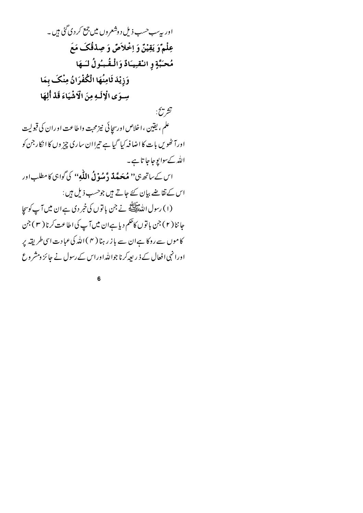اور په ٍسب<سب ذیل د وشعروں میں جمع کر دی گئی ہیں ۔ عِلْمٌوَ يَقِيْنٌ وَ اِخْلاَضٌ وَ صِدْقُكَ مَعَ مُحَبَّةٍ و انْقْبِيَادٌ وَالْمُقْبُولُ لَسَهَا وَزِيْدَ ثَامِنُهَا الْكُفْرَانُ مِنْكَ بِمَا سِوَى الْإِلَيهِ مِنَ الْإِشْيَاءَ قَدْ أَلِهَا تشر يخ: علم ، يقين ، اخلاص اورسچا ئي نيز محبت واطاعت او ران کي قبوليت اورآ ٹھُویں بات کا اضا فہ کیا گیا ہے تیراان ساری چیز وں کا انکار جن کو الله کےسوابوجاجا تا ہے۔ اس کے ساتھ ہی'' **مُحَصَّلَہٗ دَّ مُیوْ لُہِ اللّٰہ**ِ'' کی گواہی کامطلب اور اس کے نقاضے بیان کئے جاتے ہیں جوحسب ذیل ہیں : (١) رسول الله عليلاً في حتى باتوں كى خبر دى ہے ان ميں آپ كوسچا جاننا ( ۲ ) جن با توں کاحکم دیا ہےان میں آپ کی اطاعت کرنا ( ۳ ) جن کاموں سے روکا ہےان سے باز رہنا ( ۴ )اللہ کی عبادت اسی طریقہ پر اورا نہی افعال کے ذیر پیہ کرنا جواللہ اوراس کے رسول نے جائز ومشر وع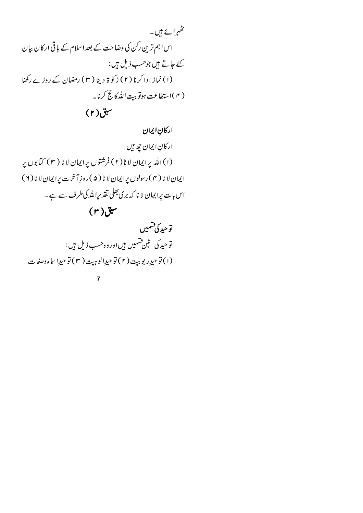$(r)$ سبق

اركانِ ايمان

اركانِ ايمان جِهِ بين: (۱) الله پرایمان لا نا(۲) فرشتوں پرایمان لا نا (۳) کتابوں پر ایمان لا نا (۴) رسولوں پرایمان لا نا (۵) روزِآخرت پرایمان لا نا (۲) اس بات پرایمان لا نا که بری بھلی نقذ پراللہ کی طرف سے ہے۔

 $(r)$ سبق

تۆحىد كى قىتمىيىن توحید کی تین فشمیں ہیںاوروہ حسب ذیل ہیں: (١) توحيدٍ ربوبيت (٢) توحيدِ الوہيت (٣) توحيدِ اساءوصفات

 $\overline{7}$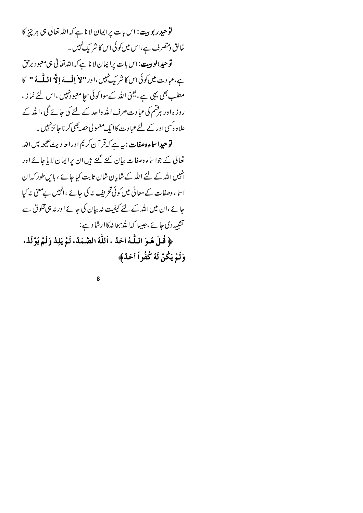**توحیدر بوبیت: اس با**ت پرایمان لا نا ہے کہ اللہ تعالیٰ ہی ہر چیز کا خالق ومتصرف ہے،اس میں کو ئی اس کا شر یک نہیں ۔ توحي**دالوہيت:ا**س بات پرايمان لا ناہے كہ اللہ تعالىٰ ہى معبود برحق ہے،عبادت میں کوئی اس کا شریک نہیں ،اور "لا اِلَسهَ إِلَّا اللّٰہ مَا" کا مطلب بھی یہی ہے ، یعنی اللہ کےسوا کوئی سجا معبود نہیں ،اس لئے نما ز ، روز ہ اور ہرفشم کی عبادت صرف اللہ واحد کے لئے کی جائے گی ،اللہ کے علا و ہ کسی اور کے لئے عبا د ت کا ایک معمو لی حصہ بھی کرنا جا ئزنہیں ۔ **توحیداساء وصفات : ب**ه ہے کہ قر آ ن کریم اوراحا دیث صحیحہ میں اللہ تعالٰی کے جواساء وصفات بیان کئے گئے ہیں ان پرایمان لایا جائے اور

انہیں اللہ کے لئے اللہ کے شایان شان ثابت کیا جائے ، پاس طور کہ ان اساء وصفات کے معانی میں کوئی تحریف نہ کی جائے ،انہیں بےمعنی نہ کیا جائے ،ان میں اللہ کے لئے کیفیت نہ بیان کی جائے اور نہ ہی مخلوق سے تشبیہ دی جائے ،جیپا کہ اللہ سجانہ کاارشاد ہے:

﴿ قُلْ هُـوَ اللَّـٰهُ أَحَدٌ ، اَللَّهُ الصَّمَدُ، لَمْ يَلِدْ وَلَمْ يُوْلَدْ، وَلَمْ يَكُنْ لَهُ كُفُواً أَحَدٌ﴾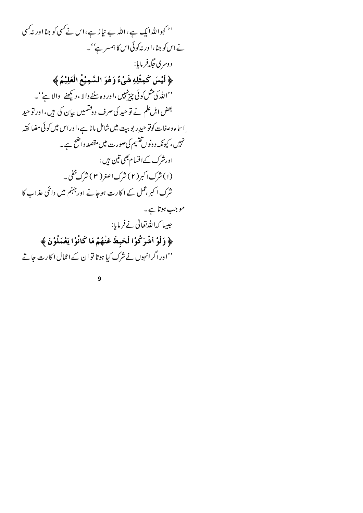<sup>د د</sup> کہواللہ ایک ہے ،اللہ بے نیاز ہے،اس نے *کس*ی کو جنا اور نہ *کس*ی نے اس کو جنا،اور نہ کوئی اس کا ہمسر ہے''۔ د وسري جگه فريايا: ﴿ لَيْسَ كَمِثْلِهِ شَيْءٌ وَهُوَ السَّمِيْعُ الْعَلِيْمُ ﴾ ''اللّٰہ کی مثل کوئی چیز نہیں ،اور وہ سننے والا ، دیکھنے والا ہے''۔ بعض اہل علم نے تو حید کی صرف دوشتمیں بیان کی ہیں، اور تو حید ِ اساء وصفات کوتو حیدِر بو بیت میں شامل ما نا ہے،اوراس میں کوئی مضا ئقہ .<br>نہیں ، کیونکہ دونوں تقسیم کی صورت میں مقصد واضح ہے ۔ اورشرک کےاقسام بھی تین ہیں : (۱) شرک ا کبر (۲) شرک اصغر ( ۳ ) شرک خفی ۔ شرک اکبر ،عمل کے اکارت ہوجانے اور جہنم میں دائمی عذاب کا موجب ہوتا ہے۔ جیسا کەاللەتغالى نےفرمایا: ﴿ وَلَوْ أَشْرَكُوْا لَحَبِطَ عَنْهُمْ مَا كَانُوْا يَعْمَلُوْنَ ﴾ ''اوراگرانہوں نے شرک کیا ہوتا تو ان کےاعمال اکارت جاتے

 $\overline{9}$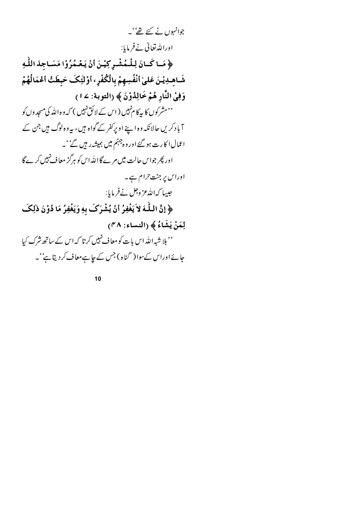جوانہوں نے کئے تھے' یہ اوراللەتغالى نےفرمایا:

﴿ مَـا كَـانَ لِلْمُشْـرِكِيْـنَ أَنْ يَعْـمُرُوْا مَسَـاجِدَ اللّٰهِ شَـاهـدِيْـنَ عَلمىٰ أنْفُسِهمْ بِالْكُفْرِ ، أوْلْئِكَ حَبطَتْ أَعْمَالُهُمْ وَفِيْ النَّارِ هُمْ خَالِدُوْنَ ﴾ (التوبة: ١٤) <sup>د م</sup>شرکوں کا پیکا م<sup>نہ</sup>یں ( اس کے لائق نہیں ) کہ وہ اللّٰہ کی مسجد وں کو آباد کریں حالانکہ وہ اپنے اوپرکفر کے گواہ ہیں، یہ وہ لوگ ہیں جن کے اعمال ا کارت ہو گئے اور وہ جہنم میں ہمیشہ ریں گے''۔ اور پھر جواس حالت میں مرے گا اللہ اس کو ہرگز معاف نہیں کرے گا اوراس پر جن<sub>ت</sub> <sub>حرام ہے۔</sub> جبيها كەاللەعز وجل نےفرمایا: ﴿ إِنَّ اللَّهَ لاَ يَغْفِرُ أَنْ يُشْرَكَ بِهِ وَيَغْفِرُ مَا دُوْنَ ذٰلِكَ لِمَنْ يَشَاءُ ﴾ (النساء: ٣٨) '' بلا شیہ اللہ اس بات کو معاف نہیں کرتا کہ اس کے ساتھ شرک کیا جائے اوراس کےسوا ( گناہ ) جس کے جاہےمعاف کر دیتا ہے' ۔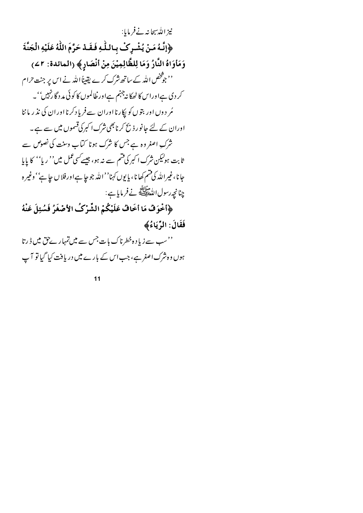نيز الله سجانه نےفرمایا: ﴿إِنَّهُ مَنْ يُشْرِكْ بِاللَّهِ فَقَدْ حَرَّمَ اللَّهُ عَلَيْهِ الْجَنَّةَ وَمَأْوَاهُ النَّارُ وَمَا لِلظَّالِمِيْنَ مِنْ أَنْصَارِ﴾ (المائدة: ٢٤) '' جو څخص الله کے ساتھ شرک کرے یقیناً الله نے اس پر جنت حرام کر دی ہےاوراس کا ٹھکا نہ جہنم ہےاور خلالموں کا کوئی مد دگا رنہیں' '۔ مُر دوں اور بتوں کو پکارنا اوران سےفریاد کرنا اوران کی نذر ماننا اوران کے لئے جانور ذبح کرنا بھی نثرک اکبر کی قسموں میں سے ہے۔ .<br>شرک اصغر وہ ہے جس کا شرک ہونا کیاب وسنت کی نصوص سے ثابت ہولیکن شرک ا کبر کی قسم سے نہ ہو، جیسے کسی عمل میں'' ریا'' کا پایا جانا،غيرالله كي تسم كھانا، يا يوں كہنا'' الله جو جا ہے اور فلا ں حا ہے'' وغير ہ چنانچەرسول الدولپاتھ نے فرمایا ہے :

﴿اخْوَفْ مَا أَخَافْ عَلَيْكُمْ الشِّرْكُ الأَصْغَرُ فَسُئِلَ عَنْهُ فَقَالَ: الرِّيَاءُ﴾

''سب سے زیاد ہ خطرناک بات جس سے میں تمہار ےحق میں <sub>ڈ</sub>رتا ہوں وہ شرک اصغر ہے، جب اس کے بارے میں دریافت کیا گیا تو آپ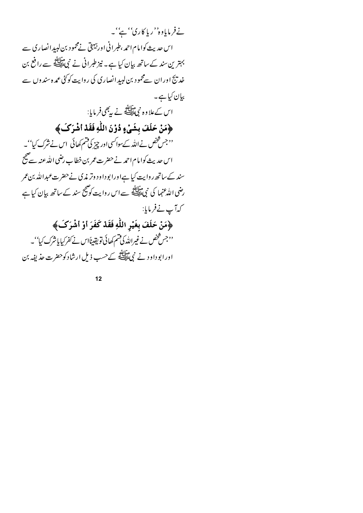نےفرمایاوہ''ریا کاری'' ہے''۔ اس حدیث کوامام احمہ ،طبرانی اور بیہیق نےمحمود بن لبید انصاری سے بہترین سند کے ساتھ بیان کیا ہے۔ نیز طبرانی نے نبیﷺ سے رافع بن خد تئج اور ان سےمحمود بن لیبیرانصاری کی روایت کوئی عمدہ سندوں سے بیان کیا ہے۔ اس کےعلاوہ نبی اللّٰہ نے یہ بھی فرمایا: ﴿مَنْ حَلَفَ بِشَيْءٍ دُوْنَ اللَّهِ فَقَدْ أَشْرَكَ﴾ ''جس شخص نے اللہ کےسواکسی اور چیز کی شم کھائی اس نے نثرک کیا''۔ اس حديث كوامام احمد نے حضرت عمر بن خطاب رضي الله عنه سے صحیح ۔<br>سند کےساتھ روایت کیا ہےاورا بوداود وتر م**ذی** نےحضرت *عبد*اللہ بن عمر رضی اللہ عنہا کی نبیﷺ سے اس روایت کو صحیح سند کے ساتھ بیان کیا ہے كەآپ نےفرمایا: ﴿مَنْ حَلَفَ بِغَيْرِ اللَّهِ فَقَدْ كَفَرَ أَوْ أَشْرَكَ﴾ ''جس شخص نے غیراللہ کی تسم کھائی تو یقیناًاس نے کفرکیا یاشرک کیا''۔

اور ابوداود نے نمی ﷺ کےحسب ذیل ارشاد کوحضرت حذیفہ بن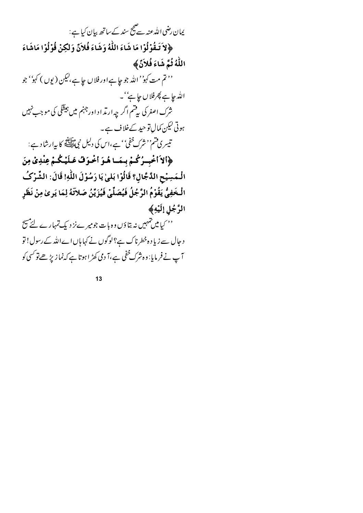یمان رضی اللہ عنہ سے پیج سند کے ساتھ بیان کیا ہے : ﴿لاَ تَبِقُوْلُوْا مَا شَاءَ اللَّهُ وَشَاءَ فَلاَنَّ وَلَكِنْ قُوْلُوْا مَاشَاءَ اللَّهُ ثُمَّ شَاءَ فُلاَنَّ ﴾ '' تم مت کہو'' اللہ جو جا ہےاور فلاں جا ہے،لیکن ( یوں ) کہو'' جو الله جا ہے پھرفلاں جا ہے''۔ شرک اصغر کی پی<sup>قت</sup>م اگر چه ارتد اد اورجہنم میں ہی<del>ٹ</del>گی کی موجب نہیں ہوتی کیکن کمال تو حید کےخلاف ہے۔ تيسري قسم'' شرك خفي'' ہے،اس كى دليل نبى اقلاق كا بہارشاد ہے: ﴿الاَاخْبِيرُكُمْ بِيمَا هُوَ اخْوَفْ عَلَيْكُمْ عِنْدِيْ مِنَ الْـمَسِيْحِ الدَّجَّالِ؟ قَالُوْا بَلَىٰ يَا رَسُوْلَ اللَّهِ! قَالَ: الشَّرْكُ الْخَفِيُّ يَقُوْمُ الرَّجُلُ فَيُصَلِّيْ فَيُزَيِّنُ صَلاَّتَهُ لِمَا يَرِ ىٰ مِنْ نَظَرِ الرَّجُلِ إِلَيْهِ﴾ '' کیامیں تہہیں نہ بتاؤں وہ بات جومیر ےنز دیک تمہارے لئے م<del>س</del>ح د جال سے زیا د ہ خطرناک ہے؟ لوگوں نے کہا ہاں اےاللہ کے رسول! تو آپ نے فر مایا: وہ شرک <sup>خف</sup>ی ہے،آ دی کھڑ اہوتا ہے کہ<sup>ن</sup>ما زیڑ ھےتو <sup>کس</sup>ی کو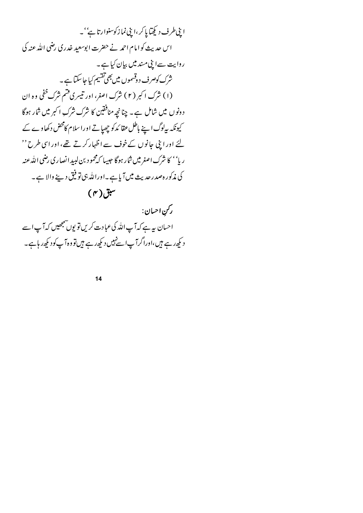این طرف دیکھایا کر،اینی نماز کوسنوارتا ہے''۔ اس حدیث کوامام احمد نے حضرت ابوسعید خدری رضی اللہ عنہ کی روایت سےاینی مسند میں بیان کیا ہے۔ شرک کوصرف د وقسموں میں بھی تقسیم کیا جا سکتا ہے ۔ (۱) شرک اکبر (۲) شرک اصغر، اور تیسری قسم شرک خفی وه ان د ونوں میں شامل ہے۔ چنانچہ منافقین کا شرک شرک اکبر میں شار ہوگا کیونکہ پیادگ اپنے باطل عقا ئدکو چھپاتے اوراسلام کامحض دکھاوے کے لئے اور ابنی جانوں کےخوف سے اظہار کرتے تھے، اور اسی طرح '' رپا'' کا شرک اصغرمیں شار ہوگا جیپا کہ مجمود بن لبیدالصاری رضی اللہ عنہ کی مذکور ہصدرحدیث میںآ پاہے۔اوراللہ ہی تو فیق دینے والا ہے۔

 $(r)$ سبق



$$
14
$$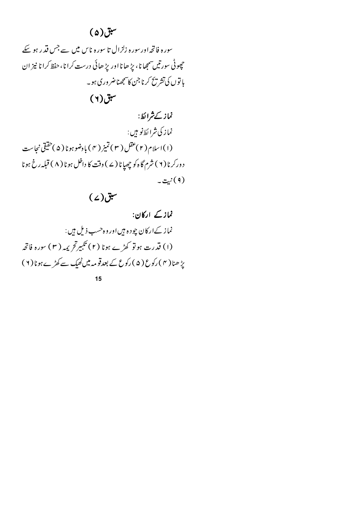# $\tilde{\mathcal{L}}(\mathfrak{a})$ سبق

سورہ فاتحہ اور سورہ زلزال تا سورہ ناس میں سے جس قدر ہو سکے حچوڻي سورتيں سمجھا نا، پڑ ھا نا اور پڑ ھائي درست کرا نا، حفظ کرا نا نيز ان با توں کی تشریح کرنا جن کا سمجھناضر وری ہو۔

 $(Y)$ سبق

نماز کےشرائط: نماز کې شرا ئط نو مېں : (۱) اسلام (۲)عقل (۳) تميز (۴) بادضو ہونا (۵)حقیقی نجاست د ورکرنا ( ۲ ) شرم گاه کو چھپانا ( ۷ ) وقت کا داخل ہونا ( ۸ ) قبلہ رخ ہونا (۹) نېت په

#### $(2)$ سبق

نماز کے ارکان: نماز کےارکان چودہ ہیں اور وہ حسب ذیل ہیں : (۱) قدرت ہوتو کھڑے ہونا (۲) تکبیرتح یمہ (۳) سورہ فاتحہ یڑ ھنا( ۴ ) رکوع ( ۵ ) رکوع کے بعدقومہ میں ٹھیک سے کھڑے ہونا( ۲ )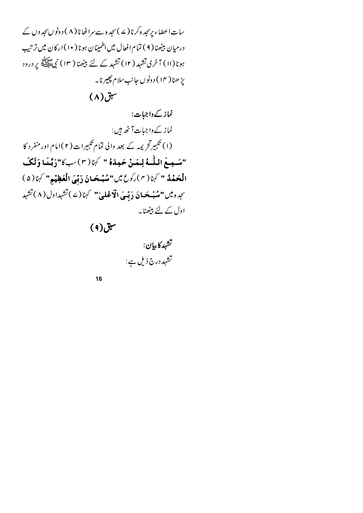سات اعضاء پرسجدہ کرنا (ے )سجد ہ سے سراٹھانا ( ۸ ) دونو ںسجد وں کے درمیان بیٹھنا( ۹ ) تمام افعال میں اطمینان ہونا ( ۱۰ ) ارکان میں ترتیب ہونا(اا) آ خری تشہد ( ۱۲) تشہد کے لئے بیٹھنا ( ۱۳) نبیﷺ پر درود یڑ ھنا ( ۱۴ ) د ونوں جانب سلام پھیرنا۔  $\mathbf{u}(\lambda)$ سبق

نماز کے داجبات: نماز کے داجیات آٹھ ہیں : (۱) تئبیرتحریمہ کے بعد والی تمام تئبیرات(۲)امام اور منفرد کا "سَمِعَ اللَّهُ لِمَنْ حَمِدَهُ " كَهَا(٣)سبكا"رَبَّنَا وَلَكَ الْحَمْدُ " كَهَا( ٣ ) رَكوع مِين "سُبْحَانَ رَبِّيَ الْعَظِيْمِ" كَهَا( ۵ ) سجده مين "مُبْسَحَسانَ دَبّسَى الْأَعْلَىٰ" كَهَمَا (٤) تَشْهِداول (٨) تَشْهِد اول کے لئے بیٹھنا۔

 $(9)$ سبق

تشهدكا بيان: تشہد درج ذیل ہے: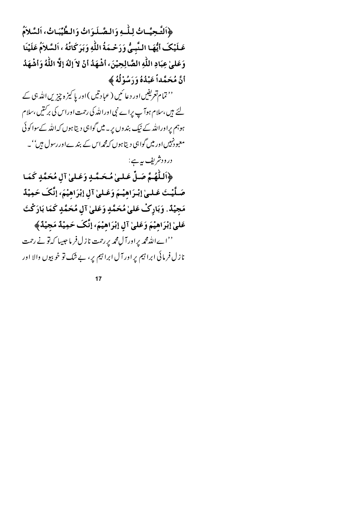﴿التَّحِيَّـاتُ لِلْهِ وَالصَّـلَوَاتُ وَالطَّيِّبَاتُ، اَلسَّلاَمُ عَـلَيْكَ أَيُّهَـا الـنَّبِـيُّ وَرَحْـمَةُ اللَّهِ وَبَرَكَاتُهُ ، اَلسَّلاَمُ عَلَيْنَا وَعَلَّىٰ عِبَادِ اللَّهِ الصَّالِحِيْنَ، أَشْهَدُ أَنْ لاَ إِلٰهَ إِلَّا اللَّهُ وَأَشْهَدُ أَنَّ مُحَمَّداً عَبْدُهُ وَرَسُوْلُهُ ﴾

'' تمام تعریفیں اور دعا ئیں ( عبادتیں ) اور یا کیز ہ چیزیں اللہ ہی کے لئے ہیں،سلام ہوآ پ پراے نبی اوراللّٰہ کی رحمت اوراس کی برکنیں ،سلام ہوہم پراوراللہ کے نیک بندوں پر۔ میں گواہی دیتا ہوں کہ اللہ کےسواکوئی معبودنہیں اور میں گواہی دیتا ہوں کہ مجداس کے بندےاوررسول ہیں''۔

در ودشريف په ہے : ﴿اللَّهُمَّ صَلِّ عَلَىٰ مُحَمَّدٍ وَعَلَىٰ آلِ مُحَمَّدٍ كَمَا صَلَّيْتَ عَـلـىٰ إِبْـرَاهِيْـمَ وَعَـلـىٰ آلِ إِبْرَاهِيْمَ، إِنَّكَ حَمِيْدٌ مَجِيْدٌ. وَبَارِكْ عَلَىٰ مُحَمَّدٍ وَعَلَىٰ آلِ مُحَمَّدٍ كَمَا بَارَكْتَ عَلَّىٰ إِبْرَاهِيْمَ وَعَلَّىٰ آلِ إِبْرَاهِيْمَ، إِنَّكَ حَمِيْدٌ مَجِيْدٌ ﴾ ''اےاللہ محمہ یراورآ ل¢ریر رحمت نازل فرما جیپا کہ تو نے رحمت نازل فرمائی ابراہیم پر اور آل ابراہیم پر، بے شک تو خو بیوں والا اور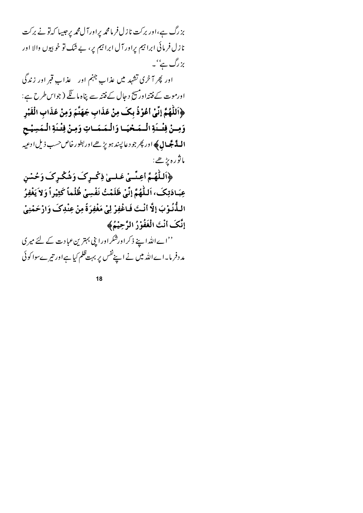بزرگ ہے،اور برکت نازل فر مامحمہ یراورآ ل محمہ پرجیبا کہ تونے برکت نازل فرمائی ابرا تیم پراور آل ابرا تیم یر، بے شک تو خوبیوں والا اور بزرگ ہے''۔

اور پھر آ خری تشہد میں عذابِ جہنم اور عذابِ قبر اور زندگی اورموت کے فتنداور پیچ د جال کے فتنہ سے پناہ ما گئے ( جواس طرح ہے : ﴿اللَّهُمَّ إِنِّي أَعُوْذُ بِكَ مِنْ عَذَابٍ جَهَنَّمَ وَمِنْ عَذَابِ الْقَبْرِ وَمِنْ فِتْدَةِ الْمَحْيَا وَالْمَمَاتِ وَمِنْ فِتْدَةِ الْمَسِيْحِ **السدَّ جَّسالِ ﴾** اور پھر جو د عالپند ہو پڑ ھےاور بطورخاص حسب ذیل ادعیہ ماثوره يڑھے:

﴿أَلِلْهُمَّ أَعِنَّمْ عَلَىٰ ذِكْرِكَ وَشُكْرِكَ وَحُسْنِ عِبَادَتِكَ، اَللَّهُمَّ إِنِّيْ ظَلَمْتُ نَفْسِيْ ظُلْماً كَثِيْراً وَلاَ يَغْفِرُ الـذُّنُـوْبَ إلَّا أنْـتَ فَـاغْفِرْ لِيْ مَغْفِرَةً مِنْ عِنْدِكَ وَارْحَمْنِيْ إِنَّكَ أَنْتَ الْغَفُوْرُ الرَّحِيْمُ﴾

''اےاللہ اپنے ذکراورشکراورا پی بہترین عبادت کے لئے میری مد دفر ما۔اےاللہ میں نے اپنےنفس پر بہت ظلم کیا ہےاور تیرےسوا کو ئی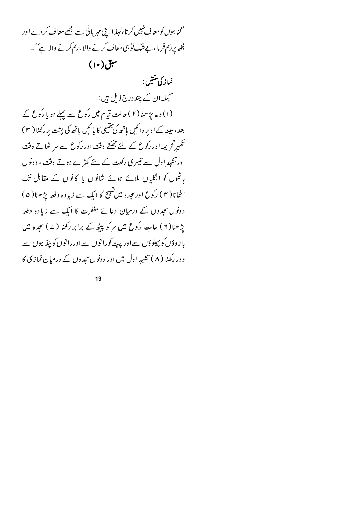گنا ہوں کو معاف نہیں کرتا،لہذ ااپنی مہر بانی سے مجھے معاف کر دے اور مچھ پررحم فر ما، بےشک تو ہی معاف کرنے والا ،رحم کرنے والا ہے' ۔  $(1\cdot)$ سبق نماز کې تنتيں : منجملہ ان کے چند درج ذیل ہیں : (۱) دعا پڑ ھنا (۲) حالت قیام میں رکوع سے پہلے ہو یا رکوع کے بعد، سینہ کے اوپر دائمیں ہاتھ کی پتھیلی کا بائمیں ہاتھ کی پثت پر رکھنا ( ۳ ) تکبیرٹح پمہ اور رکوع کے لئے چھکتے وقت اور رکوع سے سراٹھاتے وقت اورتشہدِاول سے تیسری رکعت کے لئے کھڑے ہوتے وقت ، دونوں پاتھوں کو انگلیاں ملائے ہوئے شانوں یا کانوں کے مقابل تک اٹھانا( ۴ ) رکوع اورسجدہ میں شبیح کا ایک سے زیادہ دفعہ پڑھنا( ۵ ) دونوں سجدوں کے درمیان دعائے مغفرت کا ایک سے زیادہ دفعہ یڑ ھنا(۲) حالتِ رکوع میں سرکو پیٹھ کے برابر رکھنا (۷) سجدہ میں باز د دَں کو پہلو دَں سےاور پہیے کورانوں سےاوررانوں کو ینڈ لیوں سے دور رکھنا ( ۸ ) تشہد اول میں اور دونوں سجدوں کے درمیان نمازی کا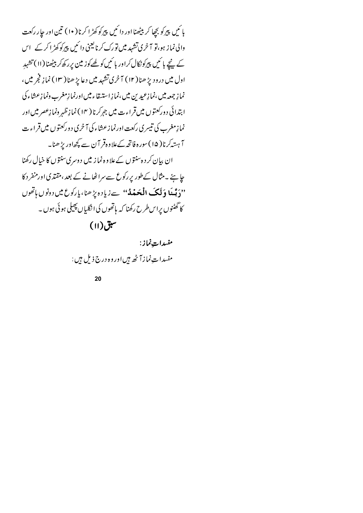بإ ئىي پېركو بچھا كرېپيھنااور دا ئىي پېركوكھڑا كرنا ( •ا ) تىن اور جار ركعت والی نماز ہو،تو آ خری تشہد میں تورک کرنا یعنی دائمیں پیرکوکھڑ اکر کے اس کے ججے پائیں پیرکونکال کراور پائیں کو لھےکوز مین پرر کھ کر بیٹھنا (۱۱) تشہد اول میں درود بڑ ھنا( ۱۲) آ خری تشہد میں دعا بڑ ھنا( ۱۳) نما نہ فجر میں ، نما زِ جمعه میں،نما زِعیدِ بنِ میں،نما زِ استیقاء میں اورنما زِمغرب ونما زِعشاء کی ابتدائی دورکعتوں میں قراءت میں جہرکرنا ( ۱۴ ) نما زِظہر ونما زِعصر میں اور نما زِمغرب کی تیسری رکعت اورنمازعشاء کی آخری دورکعتوں میں قراءت آہتیہکرنا(۱۵)سورہ فاتحہ کےعلاوہ قر آن سے کچھاور پڑھنا۔ ان بیان کرد ہ<sup>سن</sup>توں کےعلاوہ نمازییں دوسری سنتوں کا خیال رکھنا حا ہئے ۔مثال کےطور پر رکوع سے سراٹھانے کے بعد ،مقتدی اورمنفر د کا ''دَ بَّسْا وَلَكَ الْمَحَمْدُ'' سےزیادہ پڑھنا،پارکوع میں دونوں ہاتھوں کا گھٹنوں پراس طرح رکھنا کہ ہاتھوں کی انگلیاں پھیلی ہوئی ہوں ۔  $\mathcal{H}(\mathsf{H})$ سبق

> مفسدات نماز: مفسداتِ نما زآ ٹھ ہیں اور وہ درج ذیل ہیں :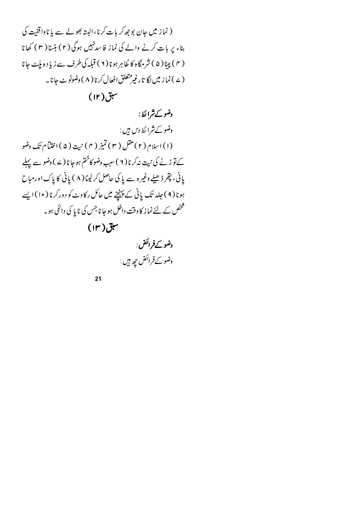( نماز میں جان بو جھ کر بات کرنا،البتہ بھولے سے یا ناواقفیت کی بناء پر بات کرنے والے کی نماز فاسدنہیں ہوگی (۲) ہنسا ( ۳ ) کھانا ( ۴ ) پېنا ( ۵ ) شرمگاه کا ظاهرېونا ( ۲ ) قېله کې طرف سے زیا د ه بلیٹ جانا ( ۷ ) نما ز میں لگا تارغپر متعلق افعال کرنا ( ۸ ) دضوٹو ٹ جانا۔

 $(1r)$ سبق

#### دضو کے شرائط:

وضو کے شرائط دیں ہیں : (١) اسلام (٢) عقل (٣) تميز (٢) نبية (۵) اختيام تك وضو کے تو ڑنے کی نبیت نہ کرنا ( ۲ ) سببِ وضوکاختم ہو جا نا ( ۷ ) وضو سے پہلے یانی، پتم ڈھیلے وغیرہ سے یا کی حاصل کرلینا ( ۸ ) یانی کا پاک اورمباح ہونا ( ۹ ) جلد تک پانی کے پینچنے میں حائل رکاوٹ کو دورکرنا ( ۱۰) ایسے شخص کے لئے نما ز کا وقت داخل ہوجا نا جس کی نا یا کی دائمی ہو۔

 $(\mathsf{I}^{\mathsf{r}})$ سبق

و**ضو کے فر** ائض : وضو کے فر ائض ج<sub>ھ</sub> ہیں :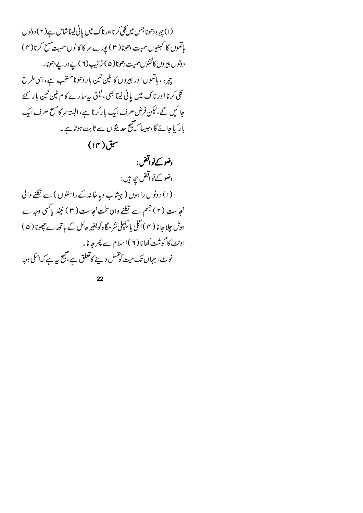(۱) چېره دهوناجس ميں کلی کرنااورناک ميں پانی ليناشامل ہے(۲) دونوں ماتھوں کا کہنیوں سمیت دھونا( ۳ ) یورے سر کا کانوں سمیت مسح کرنا( ۴ ) دونوں پیروں کا مُخوں سمیت دھونا(۵)تر تیپ (۲) پے دریے دھونا۔ چږه ، باتھوں اور پیروں کا تین تین بار دھونامستحب ہے،اسی طرح کلی کرنا اور ناک میں پانی لینا بھی، یعنی پہ سارے کا م تین تین بار کئے جا ئیں گے،لیکن فرض صرف ایک بارکرنا ہے،البتہ سر کامسح صرف ایک ،<br>مارکیا جائے گا،جبیہا کہ پنج حدیثوں سے ثابت ہوتا ہے۔

 $(\sqrt{1-\mu})$ سبق

وضو کے نواقض : وضو کے نواقض چھ ہیں : (۱) دونوں راہوں (پیشاب ویاخانہ کے راستوں) سے نکلنے والی نجاست (۲) جسم سے نکلنے والی تخت نجاست (۳) نیند پاکسی وجہ سے ہوش چلا جا نا ( ۴ ) اگلی یا بچپلی شرمگاہ کو بغیر حائل کے ہاتھ سے تچونا ( ۵ ) اونٹ کا گوشت کھا نا ( ۲ )اسلام سے پھر جانا۔ نوٹ : جہاں تک میت کوشسل دینے کاتعلق ہے، پیچ بیہ ہے کہ اسکی وجہ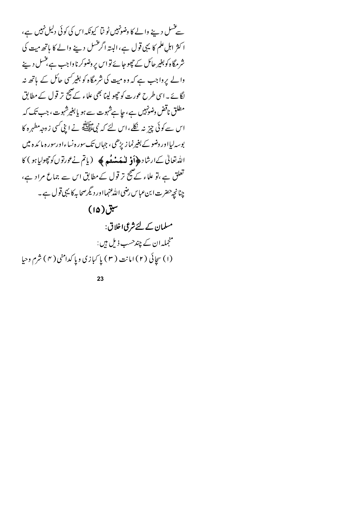سے عسل دینے والے کا وضونہیں ٹو ٹیا کیونکہ اس کی کوئی دلیل نہیں ہے، ا کثر اہل علم کا یہی قول ہے، البتہ اگر عسل دینے والے کا ہاتھ میت کی شرمگاہ کوبغیر حائل کے چچوجا بۓ تو اس پر وضوکر نا واجب ہے بخسل دینے والے پر واجب ہے کہ وہ میت کی شرمگاہ کو بغیر کسی جائل کے ہاتھ نہ لگائے ۔اسی طرح عورت کو حچو لینا بھی علاء کے صحیح تر قول کے مطابق مطلق ناقض وضونہیں ہے، جا ہےشہوت سے ہو یا بغیرشہوت، جب تک کہ اس سے کوئی چیز نہ نکلے،اس لئے کہ نبیﷺ نے ابنی کسی زوجہ مطہر ہ کا بوسہ لیااور وضو کے بغیرنما زیڑھی ، جہاں تک سور ہ نساءاورسور ہ ما کد ہ میں الله تعالى كےارشاد ﴿ أَوْ لَهُ مِنْعَةً ﴾ ( ياتم نے عورتوں كو حِصِوليا ہو ) كا تعلق ہے ،تو علاء کے صحیح تر قول کے مطابق اس سے جماع مراد ہے، چنانچه حضرت ابن عباس رضی الله عنہمااور دیگر صحابہ کا یہی قول ہے ۔

 $(10)$ سبق

مسلمان کے لئے شرعی اخلاق: منجملہ ان کے چندحسب ذیل ہیں : (۱) سچائی (۲) امانت (۳) پا کېازي وپا کدامني (۴) شرم وحيا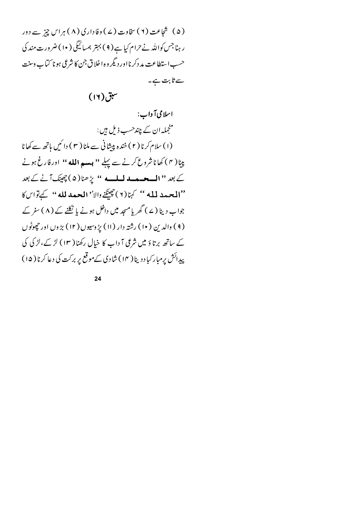(۵) شجاعت (۲) سخاوت (۷) دفاداری (۸) ہراس چیز سے دور ر ہنا جس کواللہ نے حرام کیا ہے ( ۹ ) بہتر ہمسائیگی ( ۱۰ ) ضرورت مند کی حسب استطاعت مد دکر نااور دیگر و ه اخلاق جن کا شرعی ہونا کتاب وسنت سے ثابت ہے۔

 $(11)$ سبق

اسلامی آ داب: منجملہ ان کے چندحسب ذیل ہیں : (١) سلام کرنا (٢) خند ہ پیشانی سے ملنا (٣) دائمیں ہاتھ سے کھانا پنا( ۴ ) کھاناشروع کرنے سے پہلے **'' ہیسہ الله** '' اورفارغ ہونے کے بعد '' المسحسمہ لمبلسہ '' پڑھنا(۵) چھپنک آنے کے بعد ''المحيدد لمله '' كها(٢) جِينَيْنِ دالا'' المحيد لله '' كَهِ تَواسِكَا جواب دینا (ے ) گھر یامسجد میں داخل ہونے یا نکلنے کے ( ۸ ) سفر کے ( ۹ ) والدين ( ۱۰ ) رشته دار (۱۱ ) پڑ وسیوں ( ۱۲ ) بڑ وں اور حچھوٹوں کے ساتھ برتاؤ میں شرعی آ داب کا خیال رکھنا ( ۱۳) لڑ کے،لڑ کی کی پیدائش پرمبار کیاد دینا ( ۱۴ ) شادی کے موقع پر برکت کی دعا کرنا ( ۱۵ )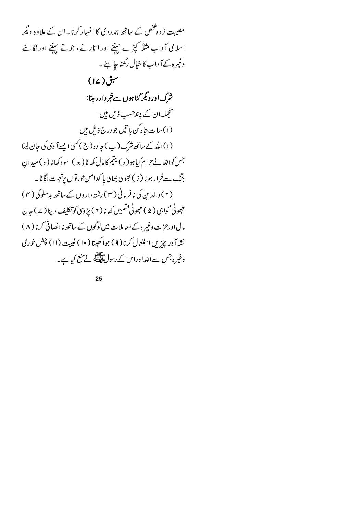مصیبت ز دہشخص کے ساتھ ہمدردی کا اظہار کرنا۔ ان کے علاوہ دیگر اسلامی آ داب مثلاً کپڑے پہننے اور اتارنے، جوتے پہننے اور نکالنے وغیرہ کےآ داب کا خیال رکھنا جا ہئے ۔  $(12)$ سبق شرک اور دیگر گناہوں سےخبر دارر ہنا: منجملہ ان کے چندحسب ذیل ہیں : (۱) سات تاه کن با تیں جو درج ذیل ہیں : (۱)الله کے ساتھ شرک (ب ) جا دو(ج ) کسی ایسےآ دمی کی جان لینا جس کواللہ نےحرام کیا ہو( د ) یتیم کا مال کھانا ( ھ ) سود کھانا ( و ) میدان جنگ سےفرارہونا ( ز ) بھو لی بھالی پا کدامن عورتوں پرتہمت لگانا۔ (۲) دالدین کی نافر مانی (۳) رشتہ داروں کے ساتھ بدسلوکی ( ۴) حج<sub>ھو</sub>ٹی گواہی ( ۵ ) حجھوٹی فشمیں کھانا ( ۲ ) پڑ و<sub>ی</sub>ں کو تکلیف دینا ( ۷ ) جان مال اورعز ت وغیر ہ کے معاملات میں لوگوں کے ساتھ ناانصافی کرنا ( ۸ ) نشه آور چزیں استعال کرنا(۹) جوا کھیلنا (۱۰) غیبت (۱۱) چغل خوری وغیرہ جس سےاللہ اوراس کے رسولﷺ نے منع کیا ہے۔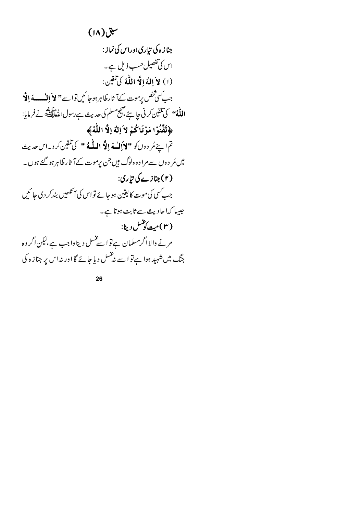جنازہ کی تیاری اوراں کیناز:  
\n
$$
\sqrt{2}
$$
 تقصیل حب نیا ہے۔  
\n $\sqrt{2}$  تفصیل حب نیا بے۔  
\n(i) لا کیفصیل حب نیا بے تیاتین:  
\n(i) لاکو ایلا اللاہ کیاتیاتی:  
\n $\sqrt{2}$   
\n $\sqrt{3}$   
\n $\sqrt{4}$   
\n $\sqrt{5}$   
\n $\sqrt{6}$   
\n $\sqrt{7}$   
\n $\sqrt{8}$   
\n $\sqrt{9}$   
\n $\sqrt{11}$   
\n $\sqrt{11}$   
\n $\sqrt{11}$   
\n $\sqrt{11}$   
\n $\sqrt{11}$   
\n $\sqrt{11}$   
\n $\sqrt{11}$   
\n $\sqrt{11}$   
\n $\sqrt{11}$   
\n $\sqrt{11}$   
\n $\sqrt{11}$   
\n $\sqrt{11}$   
\n $\sqrt{11}$   
\n $\sqrt{11}$   
\n $\sqrt{11}$   
\n $\sqrt{11}$   
\n $\sqrt{11}$   
\n $\sqrt{11}$   
\n $\sqrt{11}$   
\n $\sqrt{11}$   
\n $\sqrt{11}$   
\n $\sqrt{11}$   
\n $\sqrt{11}$   
\n $\sqrt{11}$   
\n $\sqrt{11}$   
\n $\sqrt{11}$   
\n $\sqrt{11}$   
\n $\sqrt{11}$   
\n $\sqrt{11}$   
\n $\sqrt{11}$   
\n $\sqrt{11}$   
\n $\sqrt{11}$   
\n $\sqrt{11}$   
\n $\sqrt{11}$   
\n $\sqrt{11}$   
\n $\sqrt{11}$   
\n $\sqrt{11}$   
\n $\sqrt{11}$   
\n $\sqrt{11}$   
\n $\sqrt{11}$   
\n $\sqrt{11}$   
\n $\sqrt{11}$   
\n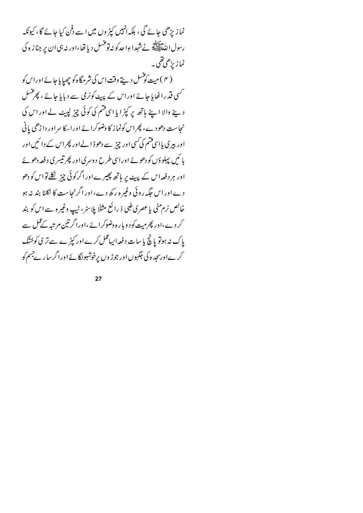نما زیڑھی جائے گی ، بلکہ انہیں کپڑ وں میں اسے دفن کیا جائے گا ، کیونکہ رسول الله السياس.<br>رسول الله السي الله عليه الله عن المحتمر المحتاء الله عنه الله عنه الله عنه الله عن الله عنه الله عن الله عن ا نمازیڑھی تھی۔ ( ۴ ) میت کوشسل دیتے وقت اس کی شرمگاہ کو چھپایا جائے اوراس کو <sup>کس</sup>ی قدراٹھایا جائے اوراس کے پیٹ کونرمی سے دیایا جائے ، پھرغنسل دینے والا اپنے ہاتھ پر کپڑا یا اسی فتم کی کوئی چیز لپیٹ لے اور اس کی نجاست دھودے، پھراس کونما ز کا وضوکرائے اور اسکا سراور داڑھی پانی اور بیری پااسی قسم کی کسی اور چیز سے دھوڈ الےاور پھراس کے دا ئیں اور پا ئىيى پېلو دَں كو دھوئے اوراسى طرح د وسرى اور پھرتيسرى د فعہ دھوئے اور ہر دفعہ<code>اس کے</sup> پہیے پر ہاتھ پھیرےاوراگرکوئی چیز نظے تواس کو دھو</code> دے اور اس جگہ روئی وغیر ہ رکھ دے، اور اگرنجاست کا نکلنا بند نہ ہو خالص نرم مٹی یا عصری طبی ذ رائع مثلاً پلاسٹر، ٹیپ وغیر ہ سے اس کو بند کر دے،اور پھرمیت کود ویار ہ وضوکرائے ،اوراگر تین مرتبہ کے عمل سے پاک نہ ہوتو پانچ پاسات دفعہ ایباعمل کرےاور کپڑے سے تر ی کوخشک کرےاورسجد ہ کی جگہوںاور جوڑ وں پرخوشبولگائے اورا گرسار پے جسم کو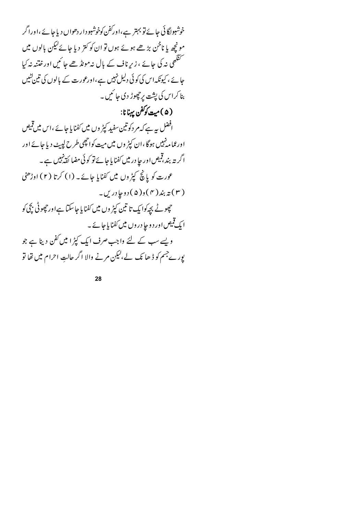خوشبولگائی جا ئے تو بہتر ہے،اورکفن کوخوشبو دار دھواں دیا جائے ،اوراگر مونچھ یا ناخن بڑھے ہوئے ہوں تو ان کو کتر دیا جائے کیکن بالوں میں ۔<br>سمجھی نہ کی جائے ، زیرِ ناف کے بال نہ<sup>م</sup>ونڈ ھے جا <sup>ئی</sup>ں اور ختنہ نہ کیا حائے ، کیونکہ اس کی کوئی دلیل نہیں ہے،اورعورت کے بالوں کی تین کٹیں بنا کراس کی پشت پر چھوڑ دی جا ئمیں ۔ (۵)ميټ کوکفن يهنانا: افضل ہے ہے کہ مر دکوتین سفید کپڑ وں میں کفنا یا جائے ،اس میں قمیص اور عما مہ نہیں ہوگا ،ان کپڑ وں میں میت کواچھی طرح لیبیٹ دیا جائے اور ا گریتہ بند ،قبیص اور حا در میں کفنا یا جائے تو کوئی مضا کقہ پہیں ہے۔ عورت کو پانچ کپڑ وں میں کفنایا جائے۔ (۱) کرتا (۲) اوڑھنی ( ۳ ) ته بند ( ۴ ) د ( ۵ ) د وجا در یں۔ حچھوٹے بچہ کوا یک تا تین کپڑ وں میں کفنا یا جا سکتا ہےاور چھوٹی بچی کو ایک قمیص اور دو جا دروں میں کفنا پاجائے۔ ویسے سب کے لئے واجب صرف ایک کپڑا میں کفن دینا ہے جو پور ےجسم کو ڈ ھا نک لے،لیکن مرنے والا اگر حالت احرام میں تھا تو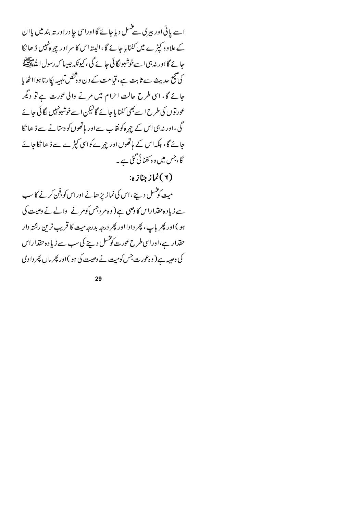اسے یانی اور بیری سے عسل دیاجائے گا اوراسی جا دراور تہ بند میں یاان کے علا وہ کپڑے میں کفنایا جائے گا ،البتہ اس کا سراور چہرہ نہیں ڈ ھا نکا حائے گا اور نہ ہی اسےخوشبوا گا ئی جائے گی ، کیونکہ جیسا کہ رسول الڈھاپشلے کی صحیح حدیث سے ثابت ہے، قیامت کے دن وہ څنھں تلبیہ لیکارتا ہواا ٹھایا جائے گا، اسی طرح حالت احرام میں مرنے والی عورت ہے تو دیگر عورتوں کی طرح اسے بھی کفنا یا جائے گالیکن اسےخوشبونہیں لگائی جائے گی ،اور نہ ہی اس کے چہرہ کو نقاب سےاور پاتھوں کو دستانے سے ڈ ھا نکا جائے گا، بلکہاس کے ہاتھوں اور چہرےکواسی کپڑے سے ڈ ھا نکا جائے گا،جس میں وہ کفنائی گئی ہے۔

( ۲ ) نماز جنازه:

میت کوشسل دینے ،اس کی نماز بڑ ھانے اوراس کو دفن کرنے کا سب سے زیادہ حقداراس کا دصی ہے(وہ مردجس کومرنے والے نے وصیت کی ہو )اور پھر باپ، پھر دادااور پھر درجہ بدرجہ میت کا قریب ترین رشتہ دار حقدار ہے،اوراسی طرح عورت کو شسل دینے کی سب سے زیاد ہ حقداراس کی وصیہ ہے( وہ عورت جس کومیت نے وصیت کی ہو )اور پھر ماں پھر دادی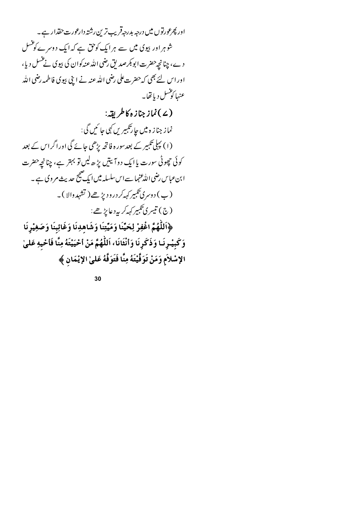اور پھرعورتوں میں درجہ بدرجہ قریب ترین رشتہ دارعورت حقدار ہے۔ شو ہر اور بیوی میں سے ہرایک کوحق ہے کہ ایک دوسرے کو شس د ے، چنانچہ حضرت ابوبکر صد لق رضی اللہ عنہ کوان کی بیوی نے عسل دیا، اور اس لئے بھی کہ حضرت علی رضی اللہ عنہ نے اپنی بیوی فاطمہ رضی اللہ عنها كؤنسل ديا تفايه

(۷) نماز جنازه کاطریقہ:

نماز جناز ہ میں جا رتکبیریں کہی جا سُیں گی : (۱) پہلی تکبیر کے بعدسور ہ فاتحہ بڑھی جائے گی اوراگراس کے بعد کوئی حچوٹی سورت یا ایک دوآ <sup>بیت</sup>یں بڑ ھ<sup>لی</sup>ں تو بہتر ہے، چنانچہ حضرت ا بنءباس رضی اللّٰہ عنہا سے اس سلسلہ میں ایک صحیح حدیث مر وی ہے ۔ (ب) د وسری تکبیر که کر درودیڑھے( تشہد والا )۔ (ج) تيسري تېبېر <sub>كهم</sub>كرېه د عايڑ ھے :

﴿اللَّهُمَّ اغْفِرْ لِحَمِّنَا وَمَيِّتِنَا وَشَاهِدِنَا وَغَائِبِنَا وَصَغِيْرِنَا وَكَبِيْـرِنَـا وَذَكَرِنَا وَأَنْثَانَا، اَللَّهُمَّ مَنْ أَحْيَيْتَهُ مِنَّا فَأَحْيهِ عَلَىٰ الإسْلاَمِ وَمَنْ تَوَفَّيْتَهُ مِنَّا فَتَوَفَّهُ عَلىٰ الإِيْمَانِ ﴾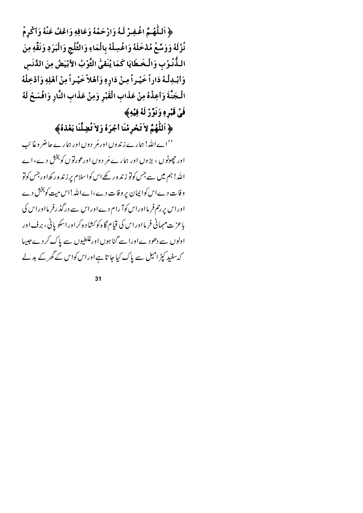﴿ اَللَّهُمَّ اغْفِرْ لَهُ وَارْحَمْهُ وَعَافِهِ وَاعْفُ عَنْهُ وَأَكْرِمْ نُزُلَهُ وَوَسِّعْ مُدْخَلَهُ وَاغْسِلْهُ بِالْمَاءِ وَالثَّلْجِ وَالْبَرَدِ وَنَقَّهِ مِنَ الـذُّنُوْبِ وَالْخَطَايَا كَمَا يُنَقِيُّ الثَّوْبُ الأَبْيَضُ مِنَ الدَّنَسِ وَأَبْدِلْهُ دَاراً خَيْـراً مِـنْ دَارِهِ وَأَهْلاً خَيْـراً مِنْ أَهْلِهِ وَأَدْخِلْهُ الْجَنَّةَ وَأَعِذْهُ مِنْ عَذَابِ الْقَبْرِ وَمِنْ عَذَابِ النَّارِ وَافْسَحْ لَهُ فَيْ قَبْرِهِ وَنَوِّزْ لَهُ فِيْهِ﴾

﴿ اَللَّهُمَّ لاَ تَحْرِمْنَا أَجْرَهُ وَلاَ تُضِلَّنَا بَعْدَهُ﴾

''اےاللہ! ہمارے زندوں اورمُر دوں اور ہمارے حاضر وغائب اور حچوٹو ں ، بڑ وں اور ہمارے مَر دوں اورعورتوں کو بخش دے، اے الله! ہم میں سے جس کوتو زندہ رکھےاس کواسلام پر زندہ رکھاور جس کوتو وفات دےاس کوا پمان پر وفات دے،اےاللہ!اس میت کو بخش دے اوراس پررحم فر مااوراس کوآ را م دےاوراس سے درگذ رفر مااوراس کی بإعز ت مہمانی فرمااوراس کی قیام گاہ کو کشاد ہ کراوراسکو پانی، برف اور اولوں سے دھودےاورا سے گناہوں اورغلطیوں سے پاک کردے جیپیا کہ سفید کپڑامیل سے پاک کیا جا تا ہےاوراس کواس کے گھر کے بدلے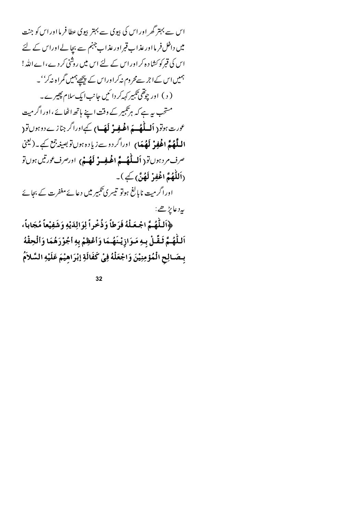اس سے بہتر گھر اور اس کی بپوی سے بہتر بپوی عطا فر ما اور اس کو جنت میں داخل فر مااور عذاب قبراور عذاب جہنم سے بچالےاوراس کے لئے اس کی قبرکوکشا د ہ کراوراس کے لئے اس میں روشنی کردے،اےاللہ! ہمیں اس کےا جر سے محروم نہ کراوراس کے پیچھے ہمیں گمراہ نہ کر''۔ ( د ) اور چوقھی تکبیر کہہ کر دا ئیں جانب ایک سلام پھیرے۔ مستحب ہے ہے کہ ہرتکبیر کے وقت اپنے ہاتھ اٹھائے ،اورا گرمیت عورت ہوتو( **اَلےلَّٰہُ ـہَ اغْیفِیْ لَہَـا**) کےاوراگر جنازے دوہوں تو( ا**لیلَّهُمَّ اغْفِزْ لَهُمَا**) اوراگردوسےزیادہ ہوں توبصیغہ جمع کیے۔(کیجنی صرف مرد ہوں تو ( **اَلساٹُھُ ۽َ اغْلِفِ بِّ اَیکُ پُ** ) اورصرف <sub>گ</sub>ورتیں ہوں تو (اَللَّٰهُمَّ اغْفِرْ لَهُنَّ) کے)۔ اوراگر میت ناپالغ ہوتو تیسری تکبیر میں دعائےمغفرت کے بجائے بەد عايڑھے: ﴿اللَّهُمَّ اجْعَلْهُ فَرَطاً وَذُخْراً لِوَالِدَيْهِ وَشَفِيْعاً مُجَاباً، اَللَّهُمَّ ثَقَّلْ بِهِ مَوَازِيْنَهُمَا وَأَعْظِمْ بِهِ أَجُوْرَهُمَا وَأَلْحِقْهُ

بِصَالِحِ الْمُؤْمِنِيْنَ وَاجْعَلْهُ فِيْ كَفَالَةِ إِبْرَاهِيْمَ عَلَيْهِ السَّلاَمُ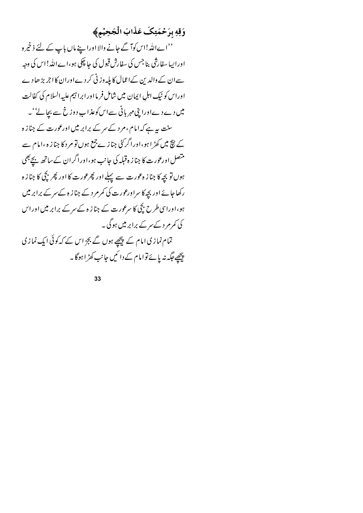### وَقِهِ بِرَحْمَتِكَ عَذَابَ الْجَحِيْمِ﴾

''اےاللہ!اس کوآ گے جانے والا اوراپنے ماں باپ کے لئے ذخیر ہ اوراپیا سفارشی بنا جس کی سفارش قبول کی جا چکی ہو،اےاللہ!اس کی وجہ سےان کے والدین کےاعمال کا پلیہ وزنی کر دےاوران کا اجر بڑھا دے اوراس کو نیک اہلِ ایمان میں شامل فر مااور ابرا تیم علیہ السلام کی کفالت میں دے دےاورا بنی مہر بانی سےاس کوعذابِ دوزخ سے بچالے' ۔ سنت یہ ہے کہ امام ،مرد کے سر کے برابر میں اورعورت کے جناز ہ کے نیچ میں کھڑ ا ہو،اورا گر کئی جناز ے جمع ہوں تو مر د کا جناز ہ ،امام سے متصل اورعورت کا جناز ہ قبلہ کی جانب ہو،اورا گران کے ساتھ بچے بھی ہوں تو بجہ کا جناز ہ عورت سے پہلے اور پھرعورت کا اور پھر بچی کا جناز ہ رکھا جائے اور بچہ کا سراورعورت کی کمرمرد کے جناز ہ کے سر کے برابر میں ہو،اوراسی طرح بچی کا سرعورت کے جناز ہ کےسر کے برابر میں اوراس کی کمرم د کے ہر کے برابر میں ہوگی ۔ تمام نمازی امام کے پیچھے ہوں گے بجز اس کے کہ کوئی ایک نمازی پیچھے جگہ نہ یائے توامام کے دائمیں جانب کھڑ اہوگا۔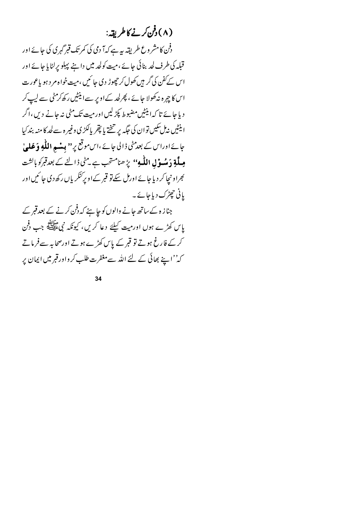# (۸) دفن کرنے کا طریقہ:

دفن کامشر وع طریقہ یہ ہے کہآ دی کی کمرتک قبرگہری کی جائے اور قبلہ کی طرف لحد بنائی جائے ،میت کولحد میں داننے پہلو پر لٹایا جائے اور اس کےکفن کی گر ہیں کھول کر چھوڑ دی جا ئمیں ،میت خواہ مر دیو یاعورت اس کا چہرہ نہ کھولا جائے ، پھرلحد کےاویر سےاینٹیں رکھ کرمٹی سے لیپ کر د یا جائے تا کہ اینٹیں مضبوط پکڑ لیں اور میت تک مٹی نیہ جانے دیں،اگر اينٹيں نەل ئىكيىن توان كى جگە پر تىختے يا پقِر پالكڑى وغير ہ سے لحد كا منہ بند كيا جائے اوراس کے بعد مٹی ڈالی جائے ،اس موقع پر '' **بیٹ ہ اللّٰہِ وَ عَلیٰ مِیلَّۃِ دَمِیُسوْلِ اللّٰہِ''** پڑھنامشخب ہے۔مٹی ڈالنے کے بعدقبرکو ہاکشت <sub>۔</sub><br>کِراونیچا کر دیا جائے اورمل سکے تو قبر کے اوپر کنگریاں رکھ دی جائمیں اور یانی حج ٹرک دیا جائے۔

جناز ہ کے ساتھ جانے والوں کو جا ہئے کہ دفن کرنے کے بعدقبر کے یاس کھڑے ہوں اور میت کیلئے دعا کریں، کیونکہ نبی علائقہ جب دفن کرکے فارغ ہوتے تو قبر کے پاس کھڑے ہوتے اورصحابہ سےفرماتے کہ''اپنے بھائی کے لئے اللہ سےمغفرت طلب کرواورقبر میں ایمان پر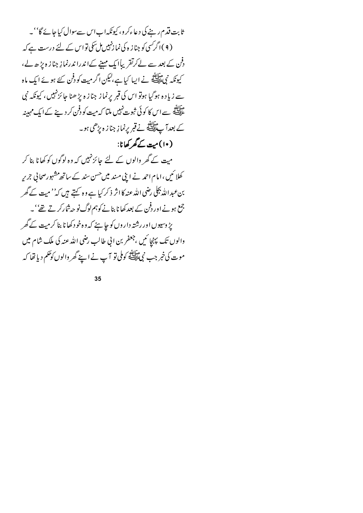ثابت قدم رینے کی دعاءکرو، کیونکہاباس سےسوال کیاجائے گا' ۔ (۹)اگر کسی کو جناز ہ کی نما زنہیں مل سکی تو اس کے لئے درست ہے کہ دفن کے بعد سے لےکرتقریباً ایک مہینے کےا ندرا ندرنما نِہ جناز ہ پڑ ھ لے، کیونکہ نبیﷺ نے ایپا کیا ہے،لیکن اگر میت کو دفن کئے ہوئے ایک ماہ سے زیاد ہ ہوگیا ہوتو اس کی قبر پرنماز جناز ہ پڑ ھنا جائزنہیں ، کیونکہ نبی ۔<br>علیہ ہے سے اس کا کوئی ثبوت نہیں ملتا کہ میت کو دفن کر د بنے کے ایک مہیبنہ کے بعدا ہے اللہ نے قبر یرنما زِ جناز ہ پڑھی ہو۔ (١٠)ميت کے گھر کھانا:

میت کے گھر والوں کے لئے جائز نہیں کہ وہ لوگوں کو کھانا بنا کر کھلا ئیں ،امام احمد نے اپنی مسند میں حسن سند کے ساتھ مشہورصحانی جریر بن عبداللہ بجلی رضی اللہ عنہ کا اثر ذکر کیا ہے وہ کہتے ہیں کہ'' میت کے گھر جمع ہونے اور دفن کے بعد کھانا بنانے کوہم لوگ نو حہ شارکر تے تھے' ۔ پڑ وسیوں اور رشتہ داروں کو جا ہئے کہ و ہ خود کھا نا بنا کرمیت کے گھر والوں تک پہنچا ئیں ،جعفر بن انی طالب رضی اللہ عنہ کی ملک شام میں موت کی خبر جب نمی ﷺ کوملی تو آپ نے اپنے گھر والوں کوحکم دیا تھا کہ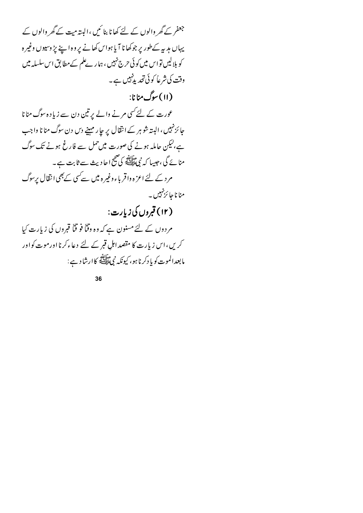جعفر کے گھر والوں کے لئے کھانا بنا <sup>ک</sup>یں ،البتہ میت کے گھر والوں کے یہاں مدیہ کےطور پر جوکھا نا آیا ہواس کھانے پر وہ اپنے پڑ وسیوں وغیرہ کو بلالیں تو اس میں کوئی حرج نہیں ، ہمارےعلم کے مطابق اس سلسلہ میں وقت کی شرعاً کوئی تحدید پہلی ہے۔ (۱۱) سوگ منانا:

عورت کے لئے کسی مرنے والے پر تین دن سے زیادہ سوگ منانا جائزنہیں ، البتہ شو ہر کے انقال پر جا ر مہینے دس دن سوگ منا نا واجب ہے،لیکن حاملہ ہونے کی صورت میں حمل سے فارغ ہونے تک سوگ منائے گی ،جیسا کہ نبی سابقہ کی صحیح احادیث سے ثابت ہے۔ مرد کے لئے اعز ہ واقر باء وغیر ہ میں سے سی کے بھی انتقال پرسوگ منا نا جا ئزنہیں ۔ (۱۲) قبروں کی زیارت:

مردوں کے لئےمسنون ہے کہ وہ وقناً فو قناً قبروں کی زیارت کیا کریں،اس زیارت کا مقصد اہل قبر کے لئے دعاءکرنا اورموت کواور مابعدالموت کو یا دکرنا ہو، کیونکہ نبی ایشی کاارشاد ہے :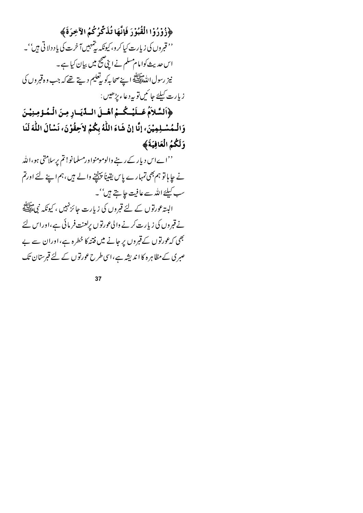﴿ زُوْرُوْا الْقُبُوْرَ فَإِنَّهَا تُذَكِّرُكُمُ الْآخِرَةَ﴾

'' قبروں کی زیارت کیا کرو، کیونکہ پتہ ہیں آ خرت کی یا د دلا تی ہیں''۔ اس حدیث کوامام مسلم نے ابنی صحیح میں بیان کیا ہے۔ نيز رسول اللّٰحَالِيِّيَّةِ ا\_يَيْصحابِهِ كو يدْفَعِيمِ دِيتٍ تھے كہ جب وہ قبروں كى زيارت كيلئے جا ئىيںتو بيرد عاء پڑھيں :

﴿السَّلاَمُ عَسلَيْسُكُسُمُ أَهْسلَ السِّلِّيَسَارِ مِنَ الْمُسؤْمِنِيْسَ وَالْـمُسْـلِمِيْنَ، إنَّا إنْ شَاءَ اللَّهُ بِكُمْ لاَحِقُوْنَ، نَسْأَلَ اللَّهَ لَنَا وَلَكُمُ الْعَافِيَةَ﴾

''اےاس دیار کے رہنے والومومنواورمسلمانو! تم پرِسلامتی ہو،اللّٰہ نے حا ہا تو ہم بھی تمہارے پاس یقیناً پہنچنے والے ہیں ،ہم اپنے لئے اورتم سب کیلئے اللہ سے عافیت جا بتے ہیں''۔ البیتہ عورتوں کے لئے قبروں کی زیارت جائز نہیں ، کیونکہ نبیﷺ نے قبروں کی زیارت کرنے والی عورتوں پرلعنت فرمائی ہے،اوراس لئے بھی کہ عورتوں کے قبروں پر جانے میں فتنہ کا خطرہ ہے،اوران سے بے صبری کے مظاہرہ کا اندیشہ ہے،اسی طرح عورتوں کے لئے قبرستان تک